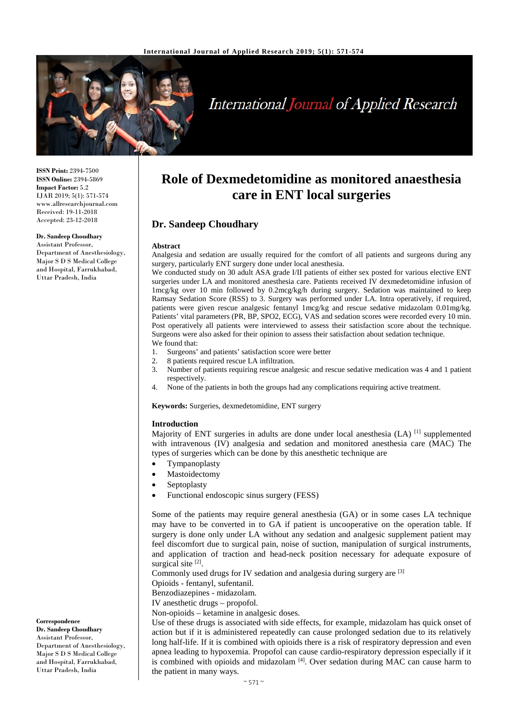

# **International Journal of Applied Research**

**ISSN Print:** 2394-7500 **ISSN Online:** 2394-5869 **Impact Factor:** 5.2 IJAR 2019; 5(1): 571-574 www.allresearchjournal.com Received: 19-11-2018 Accepted: 23-12-2018

#### **Dr. Sandeep Choudhary**

Assistant Professor, Department of Anesthesiology, Major S D S Medical College and Hospital, Farrukhabad, Uttar Pradesh, India

# **Role of Dexmedetomidine as monitored anaesthesia care in ENT local surgeries**

# **Dr. Sandeep Choudhary**

#### **Abstract**

Analgesia and sedation are usually required for the comfort of all patients and surgeons during any surgery, particularly ENT surgery done under local anesthesia.

We conducted study on 30 adult ASA grade I/II patients of either sex posted for various elective ENT surgeries under LA and monitored anesthesia care. Patients received IV dexmedetomidine infusion of 1mcg/kg over 10 min followed by 0.2mcg/kg/h during surgery. Sedation was maintained to keep Ramsay Sedation Score (RSS) to 3. Surgery was performed under LA. Intra operatively, if required, patients were given rescue analgesic fentanyl 1mcg/kg and rescue sedative midazolam 0.01mg/kg. Patients' vital parameters (PR, BP, SPO2, ECG), VAS and sedation scores were recorded every 10 min. Post operatively all patients were interviewed to assess their satisfaction score about the technique. Surgeons were also asked for their opinion to assess their satisfaction about sedation technique. We found that:

- 1. Surgeons' and patients' satisfaction score were better
- 2. 8 patients required rescue LA infiltration.<br>3. Number of patients requiring rescue analy
- 3. Number of patients requiring rescue analgesic and rescue sedative medication was 4 and 1 patient respectively.
- 4. None of the patients in both the groups had any complications requiring active treatment.

**Keywords:** Surgeries, dexmedetomidine, ENT surgery

#### **Introduction**

Majority of ENT surgeries in adults are done under local anesthesia (LA) <sup>[1]</sup> supplemented with intravenous (IV) analgesia and sedation and monitored anesthesia care (MAC) The types of surgeries which can be done by this anesthetic technique are

- **Tympanoplasty**
- **Mastoidectomy**
- **Septoplasty**
- Functional endoscopic sinus surgery (FESS)

Some of the patients may require general anesthesia (GA) or in some cases LA technique may have to be converted in to GA if patient is uncooperative on the operation table. If surgery is done only under LA without any sedation and analgesic supplement patient may feel discomfort due to surgical pain, noise of suction, manipulation of surgical instruments, and application of traction and head-neck position necessary for adequate exposure of surgical site<sup>[2]</sup>.

Commonly used drugs for IV sedation and analgesia during surgery are [3]

Opioids - fentanyl, sufentanil.

Benzodiazepines - midazolam.

IV anesthetic drugs – propofol.

Non-opioids – ketamine in analgesic doses.

Use of these drugs is associated with side effects, for example, midazolam has quick onset of action but if it is administered repeatedly can cause prolonged sedation due to its relatively long half-life. If it is combined with opioids there is a risk of respiratory depression and even apnea leading to hypoxemia. Propofol can cause cardio-respiratory depression especially if it is combined with opioids and midazolam<sup>[4]</sup>. Over sedation during MAC can cause harm to the patient in many ways.

#### **Correspondence Dr. Sandeep Choudhary** Assistant Professor, Department of Anesthesiology, Major S D S Medical College and Hospital, Farrukhabad, Uttar Pradesh, India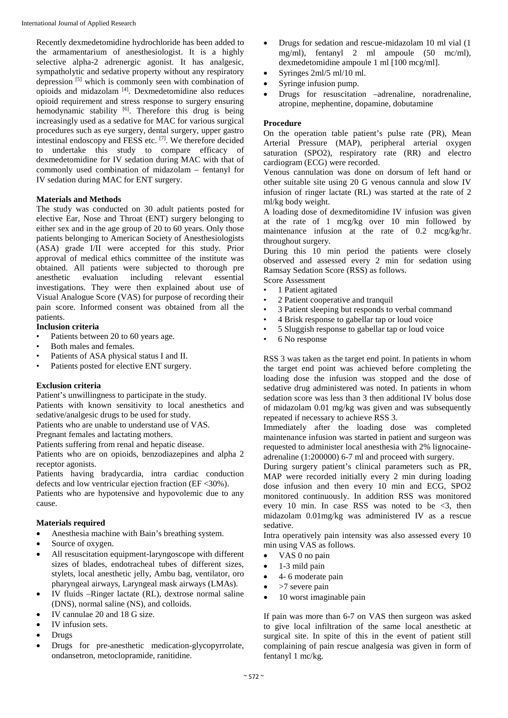Recently dexmedetomidine hydrochloride has been added to the armamentarium of anesthesiologist. It is a highly selective alpha-2 adrenergic agonist. It has analgesic, sympatholytic and sedative property without any respiratory depression [5] which is commonly seen with combination of opioids and midazolam [4]. Dexmedetomidine also reduces opioid requirement and stress response to surgery ensuring hemodynamic stability  $[6]$ . Therefore this drug is being increasingly used as a sedative for MAC for various surgical procedures such as eye surgery, dental surgery, upper gastro intestinal endoscopy and FESS etc. [7]. We therefore decided to undertake this study to compare efficacy of dexmedetomidine for IV sedation during MAC with that of commonly used combination of midazolam – fentanyl for IV sedation during MAC for ENT surgery.

## **Materials and Methods**

The study was conducted on 30 adult patients posted for elective Ear, Nose and Throat (ENT) surgery belonging to either sex and in the age group of 20 to 60 years. Only those patients belonging to American Society of Anesthesiologists (ASA) grade I/II were accepted for this study. Prior approval of medical ethics committee of the institute was obtained. All patients were subjected to thorough pre anesthetic evaluation including relevant essential investigations. They were then explained about use of Visual Analogue Score (VAS) for purpose of recording their pain score. Informed consent was obtained from all the patients.

# **Inclusion criteria**

- Patients between 20 to 60 years age.
- Both males and females.
- Patients of ASA physical status I and II.
- Patients posted for elective ENT surgery.

#### **Exclusion criteria**

Patient's unwillingness to participate in the study.

Patients with known sensitivity to local anesthetics and sedative/analgesic drugs to be used for study.

Patients who are unable to understand use of VAS.

Pregnant females and lactating mothers.

Patients suffering from renal and hepatic disease.

Patients who are on opioids, benzodiazepines and alpha 2 receptor agonists.

Patients having bradycardia, intra cardiac conduction defects and low ventricular ejection fraction (EF <30%).

Patients who are hypotensive and hypovolemic due to any cause.

## **Materials required**

- Anesthesia machine with Bain's breathing system.
- Source of oxygen.
- All resuscitation equipment-laryngoscope with different sizes of blades, endotracheal tubes of different sizes, stylets, local anesthetic jelly, Ambu bag, ventilator, oro pharyngeal airways, Laryngeal mask airways (LMAs).
- IV fluids –Ringer lactate (RL), dextrose normal saline (DNS), normal saline (NS), and colloids.
- IV cannulae 20 and 18 G size.
- IV infusion sets.
- Drugs
- Drugs for pre-anesthetic medication-glycopyrrolate, ondansetron, metoclopramide, ranitidine.
- Drugs for sedation and rescue-midazolam 10 ml vial (1 mg/ml), fentanyl 2 ml ampoule (50 mc/ml), dexmedetomidine ampoule 1 ml [100 mcg/ml].
- Syringes 2ml/5 ml/10 ml.
- Syringe infusion pump.
- Drugs for resuscitation –adrenaline, noradrenaline, atropine, mephentine, dopamine, dobutamine

# **Procedure**

On the operation table patient's pulse rate (PR), Mean Arterial Pressure (MAP), peripheral arterial oxygen saturation (SPO2), respiratory rate (RR) and electro cardiogram (ECG) were recorded.

Venous cannulation was done on dorsum of left hand or other suitable site using 20 G venous cannula and slow IV infusion of ringer lactate (RL) was started at the rate of 2 ml/kg body weight.

A loading dose of dexmeditomidine IV infusion was given at the rate of 1 mcg/kg over 10 min followed by maintenance infusion at the rate of 0.2 mcg/kg/hr. throughout surgery.

During this 10 min period the patients were closely observed and assessed every 2 min for sedation using Ramsay Sedation Score (RSS) as follows.

Score Assessment

- 1 Patient agitated
- 2 Patient cooperative and tranquil
- 3 Patient sleeping but responds to verbal command
- 4 Brisk response to gabellar tap or loud voice
- 5 Sluggish response to gabellar tap or loud voice
- 6 No response

RSS 3 was taken as the target end point. In patients in whom the target end point was achieved before completing the loading dose the infusion was stopped and the dose of sedative drug administered was noted. In patients in whom sedation score was less than 3 then additional IV bolus dose of midazolam 0.01 mg/kg was given and was subsequently repeated if necessary to achieve RSS 3.

Immediately after the loading dose was completed maintenance infusion was started in patient and surgeon was requested to administer local anesthesia with 2% lignocaineadrenaline (1:200000) 6-7 ml and proceed with surgery.

During surgery patient's clinical parameters such as PR, MAP were recorded initially every 2 min during loading dose infusion and then every 10 min and ECG, SPO2 monitored continuously. In addition RSS was monitored every 10 min. In case RSS was noted to be  $\leq 3$ , then midazolam 0.01mg/kg was administered IV as a rescue sedative.

Intra operatively pain intensity was also assessed every 10 min using VAS as follows.

- VAS 0 no pain
- $\bullet$  1-3 mild pain
- 4- 6 moderate pain
- $\bullet$  >7 severe pain
- 10 worst imaginable pain

If pain was more than 6-7 on VAS then surgeon was asked to give local infiltration of the same local anesthetic at surgical site. In spite of this in the event of patient still complaining of pain rescue analgesia was given in form of fentanyl 1 mc/kg.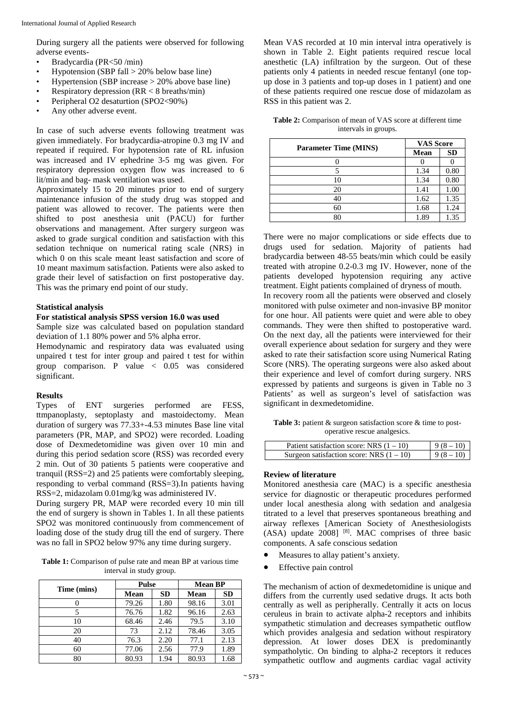During surgery all the patients were observed for following adverse events-

- Bradycardia (PR<50 /min)
- Hypotension (SBP fall  $>$  20% below base line)
- Hypertension (SBP increase  $> 20\%$  above base line)
- Respiratory depression  $(RR < 8 \text{ breaths/min})$
- Peripheral O2 desaturtion (SPO2<90%)
- Any other adverse event.

In case of such adverse events following treatment was given immediately. For bradycardia-atropine 0.3 mg IV and repeated if required. For hypotension rate of RL infusion was increased and IV ephedrine 3-5 mg was given. For respiratory depression oxygen flow was increased to 6 lit/min and bag- mask ventilation was used.

Approximately 15 to 20 minutes prior to end of surgery maintenance infusion of the study drug was stopped and patient was allowed to recover. The patients were then shifted to post anesthesia unit (PACU) for further observations and management. After surgery surgeon was asked to grade surgical condition and satisfaction with this sedation technique on numerical rating scale (NRS) in which 0 on this scale meant least satisfaction and score of 10 meant maximum satisfaction. Patients were also asked to grade their level of satisfaction on first postoperative day. This was the primary end point of our study.

#### **Statistical analysis**

#### **For statistical analysis SPSS version 16.0 was used**

Sample size was calculated based on population standard deviation of 1.1 80% power and 5% alpha error.

Hemodynamic and respiratory data was evaluated using unpaired t test for inter group and paired t test for within group comparison. P value < 0.05 was considered significant.

#### **Results**

Types of ENT surgeries performed are FESS, ttmpanoplasty, septoplasty and mastoidectomy. Mean duration of surgery was 77.33+-4.53 minutes Base line vital parameters (PR, MAP, and SPO2) were recorded. Loading dose of Dexmedetomidine was given over 10 min and during this period sedation score (RSS) was recorded every 2 min. Out of 30 patients 5 patients were cooperative and tranquil (RSS=2) and 25 patients were comfortably sleeping, responding to verbal command (RSS=3).In patients having RSS=2, midazolam 0.01mg/kg was administered IV.

During surgery PR, MAP were recorded every 10 min till the end of surgery is shown in Tables 1. In all these patients SPO2 was monitored continuously from commencement of loading dose of the study drug till the end of surgery. There was no fall in SPO2 below 97% any time during surgery.

**Table 1:** Comparison of pulse rate and mean BP at various time interval in study group.

| Time (mins) |       | <b>Pulse</b> |       | <b>Mean BP</b> |  |
|-------------|-------|--------------|-------|----------------|--|
|             | Mean  | <b>SD</b>    | Mean  | <b>SD</b>      |  |
|             | 79.26 | 1.80         | 98.16 | 3.01           |  |
|             | 76.76 | 1.82         | 96.16 | 2.63           |  |
| 10          | 68.46 | 2.46         | 79.5  | 3.10           |  |
| 20          | 73    | 2.12         | 78.46 | 3.05           |  |
| 40          | 76.3  | 2.20         | 77.1  | 2.13           |  |
| 60          | 77.06 | 2.56         | 77.9  | 1.89           |  |
| 80          | 80.93 | 1.94         | 80.93 | 1.68           |  |

Mean VAS recorded at 10 min interval intra operatively is shown in Table 2. Eight patients required rescue local anesthetic (LA) infiltration by the surgeon. Out of these patients only 4 patients in needed rescue fentanyl (one topup dose in 3 patients and top-up doses in 1 patient) and one of these patients required one rescue dose of midazolam as RSS in this patient was 2.

| <b>Table 2:</b> Comparison of mean of VAS score at different time |
|-------------------------------------------------------------------|
| intervals in groups.                                              |

| <b>Parameter Time (MINS)</b> | <b>VAS Score</b> |           |
|------------------------------|------------------|-----------|
|                              | Mean             | <b>SD</b> |
|                              |                  |           |
|                              | 1.34             | 0.80      |
| 10                           | 1.34             | 0.80      |
| 20                           | 1.41             | 1.00      |
| 40                           | 1.62             | 1.35      |
| 60                           | 1.68             | 1.24      |
|                              |                  | 1.35      |

There were no major complications or side effects due to drugs used for sedation. Majority of patients had bradycardia between 48-55 beats/min which could be easily treated with atropine 0.2-0.3 mg IV. However, none of the patients developed hypotension requiring any active treatment. Eight patients complained of dryness of mouth.

In recovery room all the patients were observed and closely monitored with pulse oximeter and non-invasive BP monitor for one hour. All patients were quiet and were able to obey commands. They were then shifted to postoperative ward. On the next day, all the patients were interviewed for their overall experience about sedation for surgery and they were asked to rate their satisfaction score using Numerical Rating Score (NRS). The operating surgeons were also asked about their experience and level of comfort during surgery. NRS expressed by patients and surgeons is given in Table no 3 Patients' as well as surgeon's level of satisfaction was significant in dexmedetomidine.

**Table 3:** patient & surgeon satisfaction score & time to postoperative rescue analgesics.

| Patient satisfaction score: NRS $(1 – 10)$ | $9(8-10)$ |
|--------------------------------------------|-----------|
| Surgeon satisfaction score: NRS $(1 – 10)$ | $9(8-10)$ |

#### **Review of literature**

Monitored anesthesia care (MAC) is a specific anesthesia service for diagnostic or therapeutic procedures performed under local anesthesia along with sedation and analgesia titrated to a level that preserves spontaneous breathing and airway reflexes [American Society of Anesthesiologists (ASA) update 2008] <sup>[8]</sup>. MAC comprises of three basic components. A safe conscious sedation

- Measures to allay patient's anxiety.
- Effective pain control

The mechanism of action of dexmedetomidine is unique and differs from the currently used sedative drugs. It acts both centrally as well as peripherally. Centrally it acts on locus ceruleus in brain to activate alpha-2 receptors and inhibits sympathetic stimulation and decreases sympathetic outflow which provides analgesia and sedation without respiratory depression. At lower doses DEX is predominantly sympatholytic. On binding to alpha-2 receptors it reduces sympathetic outflow and augments cardiac vagal activity